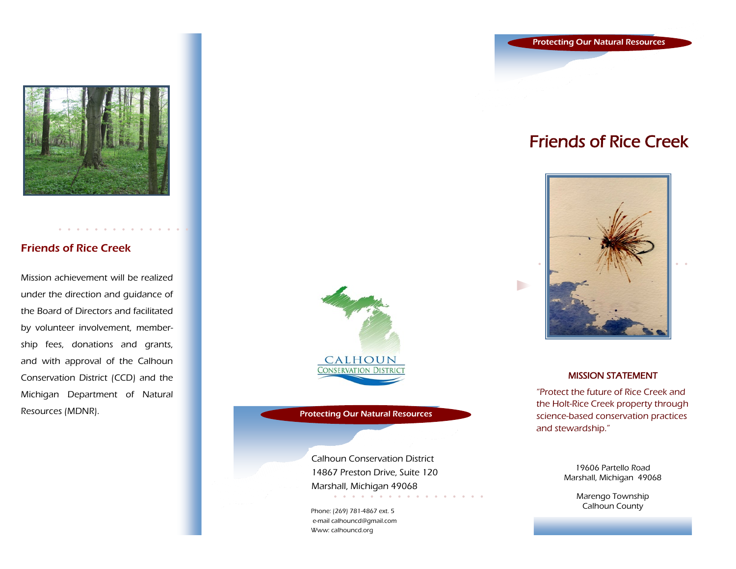

### Friends of Rice Creek

Mission achievement will be realized under the direction and guidance of the Board of Directors and facilitated by volunteer involvement, membership fees, donations and grants, and with approval of the Calhoun Conservation District (CCD) and the Michigan Department of Natural Resources (MDNR). Protecting Our Natural Resources



Calhoun Conservation District 14867 Preston Drive, Suite 120 Marshall, Michigan 49068 a constitution of the constitution of *Charles Committee* 

Phone: (269) 781-4867 ext. 5 e-mail calhouncd@gmail.com Www: calhouncd.org

Protecting Our Natural Resources

## Friends of Rice Creek



D

### MISSION STATEMENT

"Protect the future of Rice Creek and the Holt-Rice Creek property through science-based conservation practices and stewardship."

> 19606 Partello Road Marshall, Michigan 49068

> > Marengo Township Calhoun County